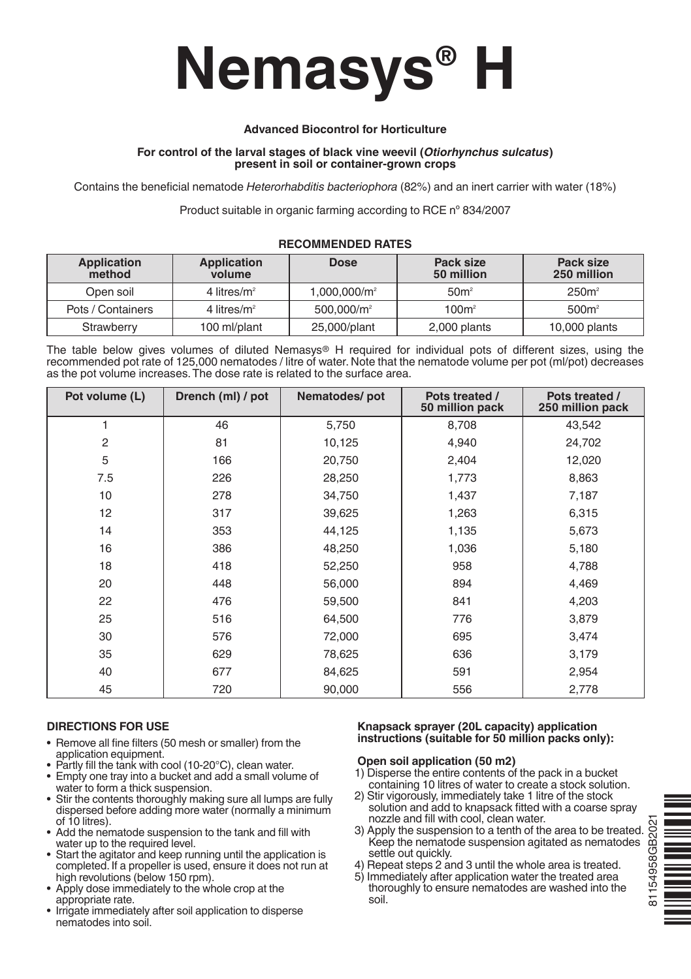# **Nemasys® H**

# **Advanced Biocontrol for Horticulture**

## **For control of the larval stages of black vine weevil (***Otiorhynchus sulcatus***) present in soil or container-grown crops**

Contains the beneficial nematode *Heterorhabditis bacteriophora* (82%) and an inert carrier with water (18%)

Product suitable in organic farming according to RCE nº 834/2007

| Application<br>method | <b>Application</b><br>volume | <b>Dose</b>              | Pack size<br>50 million | Pack size<br>250 million |
|-----------------------|------------------------------|--------------------------|-------------------------|--------------------------|
| Open soil             | 4 litres/ $m^2$              | 1.000.000/m <sup>2</sup> | 50 <sup>m²</sup>        | 250m <sup>2</sup>        |
| Pots / Containers     | 4 litres/ $m^2$              | 500.000/m <sup>2</sup>   | 100m <sup>2</sup>       | 500m <sup>2</sup>        |
| Strawberry            | 100 ml/plant                 | 25,000/plant             | 2,000 plants            | 10,000 plants            |

## **RECOMMENDED RATES**

The table below gives volumes of diluted Nemasys® H required for individual pots of different sizes, using the recommended pot rate of 125,000 nematodes / litre of water. Note that the nematode volume per pot (ml/pot) decreases as the pot volume increases.The dose rate is related to the surface area.

| Pot volume (L) | Drench (ml) / pot | Nematodes/pot | Pots treated /<br>50 million pack | Pots treated /<br>250 million pack |
|----------------|-------------------|---------------|-----------------------------------|------------------------------------|
| 1              | 46                | 5,750         | 8,708                             | 43,542                             |
| $\overline{2}$ | 81                | 10,125        | 4,940                             | 24,702                             |
| 5              | 166               | 20,750        | 2,404                             | 12,020                             |
| 7.5            | 226               | 28,250        | 1,773                             | 8,863                              |
| 10             | 278               | 34,750        | 1,437                             | 7,187                              |
| 12             | 317               | 39,625        | 1,263                             | 6,315                              |
| 14             | 353               | 44,125        | 1,135                             | 5,673                              |
| 16             | 386               | 48,250        | 1,036                             | 5,180                              |
| 18             | 418               | 52,250        | 958                               | 4,788                              |
| 20             | 448               | 56,000        | 894                               | 4,469                              |
| 22             | 476               | 59,500        | 841                               | 4,203                              |
| 25             | 516               | 64,500        | 776                               | 3,879                              |
| 30             | 576               | 72,000        | 695                               | 3,474                              |
| 35             | 629               | 78,625        | 636                               | 3,179                              |
| 40             | 677               | 84,625        | 591                               | 2,954                              |
| 45             | 720               | 90,000        | 556                               | 2,778                              |

# **DIRECTIONS FOR USE**

- Remove all fine filters (50 mesh or smaller) from the application equipment.
- Partly fill the tank with cool (10-20 $^{\circ}$ C), clean water.
- Empty one tray into a bucket and add a small volume of water to form a thick suspension.
- Stir the contents thoroughly making sure all lumps are fully dispersed before adding more water (normally a minimum of 10 litres).
- Add the nematode suspension to the tank and fill with water up to the required level.
- Start the agitator and keep running until the application is completed. If a propeller is used, ensure it does not run at high revolutions (below 150 rpm).
- Apply dose immediately to the whole crop at the appropriate rate.
- Irrigate immediately after soil application to disperse nematodes into soil.

## **Knapsack sprayer (20L capacity) application instructions (suitable for 50 million packs only):**

## **Open soil application (50 m2)**

- 1) Disperse the entire contents of the pack in a bucket containing 10 litres of water to create a stock solution.
- 2) Stir vigorously, immediately take 1 litre of the stock solution and add to knapsack fitted with a coarse spray<br>nozzle and fill with cool, clean water.
- 
- 
- nozzle and fill with cool, clean water.<br>
3) Apply the suspension to a tenth of the area to be treated.<br>
Xeep the nematode suspension agitated as nematodes<br>
settle out quickly.<br>
4) Repeat steps 2 and 3 until the whole area